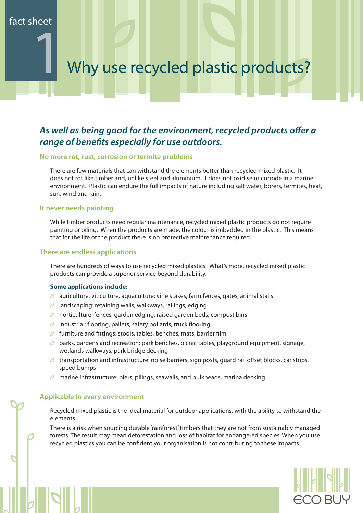1

# Why use recycled plastic products?

### As well as being good for the environment, recycled products offer a *range of benefits especially for use outdoors.*

### **No more rot, rust, corrosion or termite problems**

There are few materials that can withstand the elements better than recycled mixed plastic. It does not rot like timber and, unlike steel and aluminium, it does not oxidise or corrode in a marine environment. Plastic can endure the full impacts of nature including salt water, borers, termites, heat, sun, wind and rain.

#### **It never needs painting**

While timber products need regular maintenance, recycled mixed plastic products do not require painting or oiling. When the products are made, the colour is imbedded in the plastic. This means that for the life of the product there is no protective maintenance required.

### **There are endless applications**

There are hundreds of ways to use recycled mixed plastics. What's more, recycled mixed plastic products can provide a superior service beyond durability.

### **Some applications include:**

- $\sigma$  agriculture, viticulture, aquaculture: vine stakes, farm fences, gates, animal stalls
- $\Omega$  landscaping: retaining walls, walkways, railings, edging
- $\Omega$  horticulture: fences, garden edging, raised garden beds, compost bins
- $\theta$  industrial: flooring, pallets, safety bollards, truck flooring
- $\Omega$  furniture and fittings: stools, tables, benches, mats, barrier film
- $\sigma$  parks, gardens and recreation: park benches, picnic tables, playground equipment, signage, wetlands walkways, park bridge decking
- $\sigma$  transportation and infrastructure: noise barriers, sign posts, guard rail offset blocks, car stops, speed bumps
- $\sigma$  marine infrastructure: piers, pilings, seawalls, and bulkheads, marina decking.

### **Applicable in every environment**

Recycled mixed plastic is the ideal material for outdoor applications, with the ability to withstand the elements.

There is a risk when sourcing durable 'rainforest' timbers that they are not from sustainably managed forests. The result may mean deforestation and loss of habitat for endangered species. When you use recycled plastics you can be confident your organisation is not contributing to these impacts.

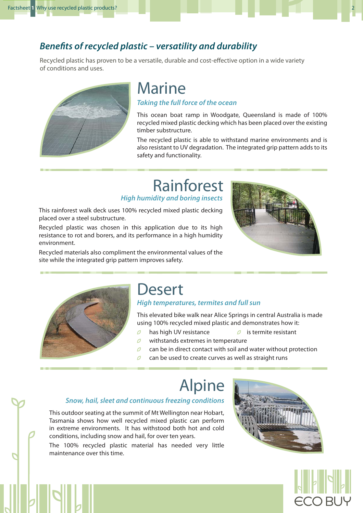### **Benefits of recycled plastic – versatility and durability**

Recycled plastic has proven to be a versatile, durable and cost-effective option in a wide variety of conditions and uses.



## Marine

*Taking the full force of the ocean*

This ocean boat ramp in Woodgate, Queensland is made of 100% recycled mixed plastic decking which has been placed over the existing timber substructure.

The recycled plastic is able to withstand marine environments and is also resistant to UV degradation. The integrated grip pattern adds to its safety and functionality.

## *High humidity and boring insects* Rainforest

This rainforest walk deck uses 100% recycled mixed plastic decking placed over a steel substructure.

Recycled plastic was chosen in this application due to its high resistance to rot and borers, and its performance in a high humidity environment.

Recycled materials also compliment the environmental values of the site while the integrated grip pattern improves safety.





## **Desert**

### *High temperatures, termites and full sun*

This elevated bike walk near Alice Springs in central Australia is made using 100% recycled mixed plastic and demonstrates how it:

- $\overline{a}$ has high UV resistance  $\theta$  is termite resistant
- $\omega$  withstands extremes in temperature
- $\Omega$  can be in direct contact with soil and water without protection
- $\Omega$  can be used to create curves as well as straight runs

# Alpine

### *Snow, hail, sleet and continuous freezing conditions*

This outdoor seating at the summit of Mt Wellington near Hobart, Tasmania shows how well recycled mixed plastic can perform in extreme environments. It has withstood both hot and cold conditions, including snow and hail, for over ten years.

The 100% recycled plastic material has needed very little maintenance over this time.